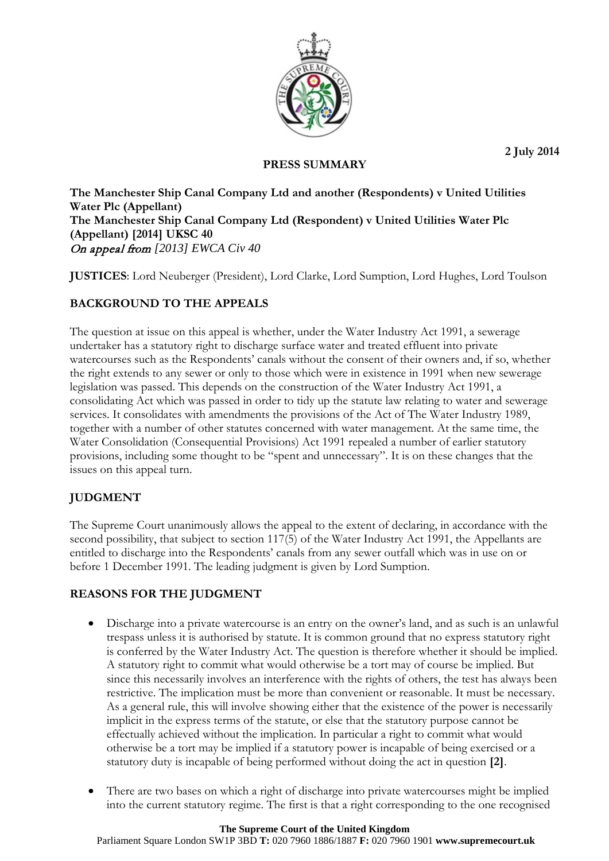**2 July 2014**



## **PRESS SUMMARY**

**The Manchester Ship Canal Company Ltd and another (Respondents) v United Utilities Water Plc (Appellant) The Manchester Ship Canal Company Ltd (Respondent) v United Utilities Water Plc (Appellant) [2014] UKSC 40** On appeal from *[2013] EWCA Civ 40*

**JUSTICES**: Lord Neuberger (President), Lord Clarke, Lord Sumption, Lord Hughes, Lord Toulson

# **BACKGROUND TO THE APPEALS**

The question at issue on this appeal is whether, under the Water Industry Act 1991, a sewerage undertaker has a statutory right to discharge surface water and treated effluent into private watercourses such as the Respondents' canals without the consent of their owners and, if so, whether the right extends to any sewer or only to those which were in existence in 1991 when new sewerage legislation was passed. This depends on the construction of the Water Industry Act 1991, a consolidating Act which was passed in order to tidy up the statute law relating to water and sewerage services. It consolidates with amendments the provisions of the Act of The Water Industry 1989, together with a number of other statutes concerned with water management. At the same time, the Water Consolidation (Consequential Provisions) Act 1991 repealed a number of earlier statutory provisions, including some thought to be "spent and unnecessary". It is on these changes that the issues on this appeal turn.

# **JUDGMENT**

The Supreme Court unanimously allows the appeal to the extent of declaring, in accordance with the second possibility, that subject to section 117(5) of the Water Industry Act 1991, the Appellants are entitled to discharge into the Respondents' canals from any sewer outfall which was in use on or before 1 December 1991. The leading judgment is given by Lord Sumption.

# **REASONS FOR THE JUDGMENT**

- Discharge into a private watercourse is an entry on the owner's land, and as such is an unlawful trespass unless it is authorised by statute. It is common ground that no express statutory right is conferred by the Water Industry Act. The question is therefore whether it should be implied. A statutory right to commit what would otherwise be a tort may of course be implied. But since this necessarily involves an interference with the rights of others, the test has always been restrictive. The implication must be more than convenient or reasonable. It must be necessary. As a general rule, this will involve showing either that the existence of the power is necessarily implicit in the express terms of the statute, or else that the statutory purpose cannot be effectually achieved without the implication. In particular a right to commit what would otherwise be a tort may be implied if a statutory power is incapable of being exercised or a statutory duty is incapable of being performed without doing the act in question **[2]**.
- There are two bases on which a right of discharge into private watercourses might be implied into the current statutory regime. The first is that a right corresponding to the one recognised

Parliament Square London SW1P 3BD **T:** 020 7960 1886/1887 **F:** 020 7960 1901 **www.supremecourt.uk**